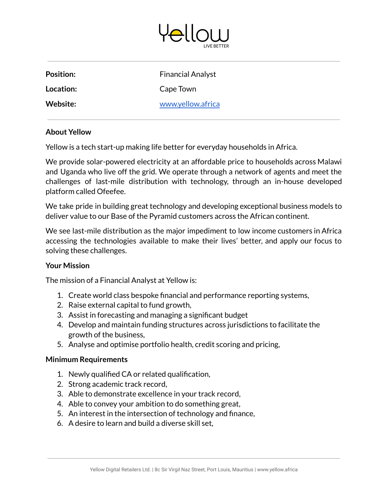

| Position: | <b>Financial Analyst</b> |
|-----------|--------------------------|
| Location: | Cape Town                |
| Website:  | www.yellow.africa        |

## **About Yellow**

Yellow is a tech start-up making life better for everyday households in Africa.

We provide solar-powered electricity at an affordable price to households across Malawi and Uganda who live off the grid. We operate through a network of agents and meet the challenges of last-mile distribution with technology, through an in-house developed platform called Ofeefee.

We take pride in building great technology and developing exceptional business models to deliver value to our Base of the Pyramid customers across the African continent.

We see last-mile distribution as the major impediment to low income customers in Africa accessing the technologies available to make their lives' better, and apply our focus to solving these challenges.

## **Your Mission**

The mission of a Financial Analyst at Yellow is:

- 1. Create world class bespoke financial and performance reporting systems,
- 2. Raise external capital to fund growth,
- 3. Assist in forecasting and managing a significant budget
- 4. Develop and maintain funding structures across jurisdictions to facilitate the growth of the business,
- 5. Analyse and optimise portfolio health, credit scoring and pricing,

## **Minimum Requirements**

- 1. Newly qualified CA or related qualification,
- 2. Strong academic track record,
- 3. Able to demonstrate excellence in your track record,
- 4. Able to convey your ambition to do something great,
- 5. An interest in the intersection of technology and finance,
- 6. A desire to learn and build a diverse skill set,